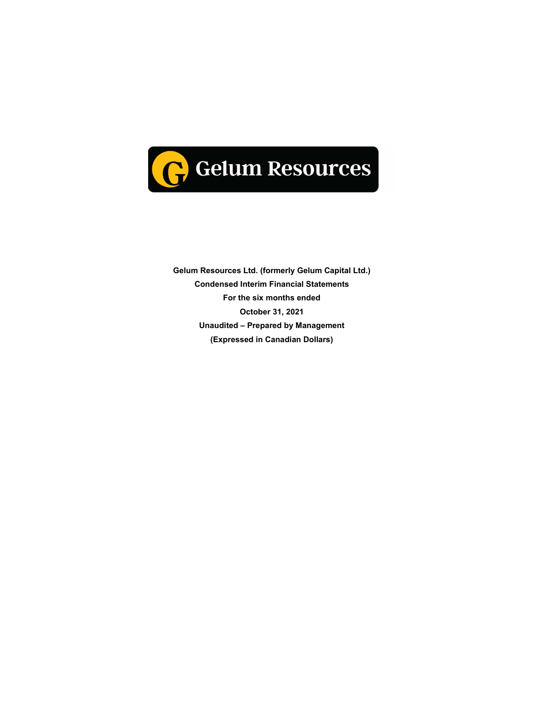

**Gelum Resources Ltd. (formerly Gelum Capital Ltd.) Condensed Interim Financial Statements For the six months ended October 31, 2021 Unaudited – Prepared by Management (Expressed in Canadian Dollars)**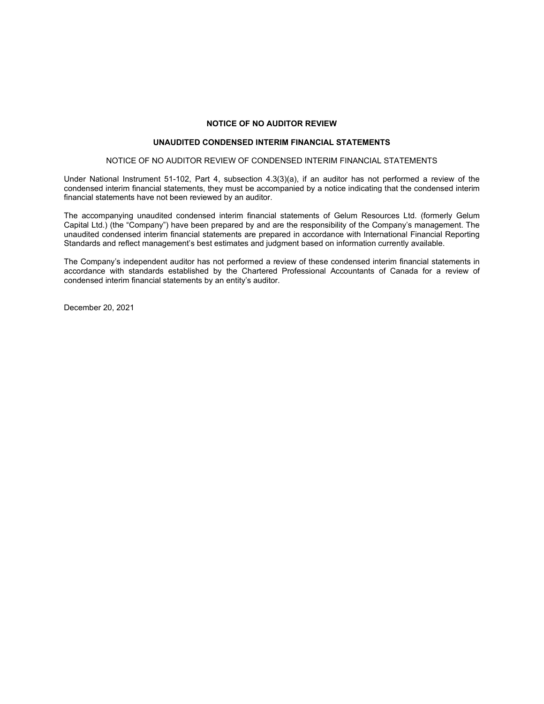## **NOTICE OF NO AUDITOR REVIEW**

## **UNAUDITED CONDENSED INTERIM FINANCIAL STATEMENTS**

#### NOTICE OF NO AUDITOR REVIEW OF CONDENSED INTERIM FINANCIAL STATEMENTS

Under National Instrument 51-102, Part 4, subsection 4.3(3)(a), if an auditor has not performed a review of the condensed interim financial statements, they must be accompanied by a notice indicating that the condensed interim financial statements have not been reviewed by an auditor.

The accompanying unaudited condensed interim financial statements of Gelum Resources Ltd. (formerly Gelum Capital Ltd.) (the "Company") have been prepared by and are the responsibility of the Company's management. The unaudited condensed interim financial statements are prepared in accordance with International Financial Reporting Standards and reflect management's best estimates and judgment based on information currently available.

The Company's independent auditor has not performed a review of these condensed interim financial statements in accordance with standards established by the Chartered Professional Accountants of Canada for a review of condensed interim financial statements by an entity's auditor.

December 20, 2021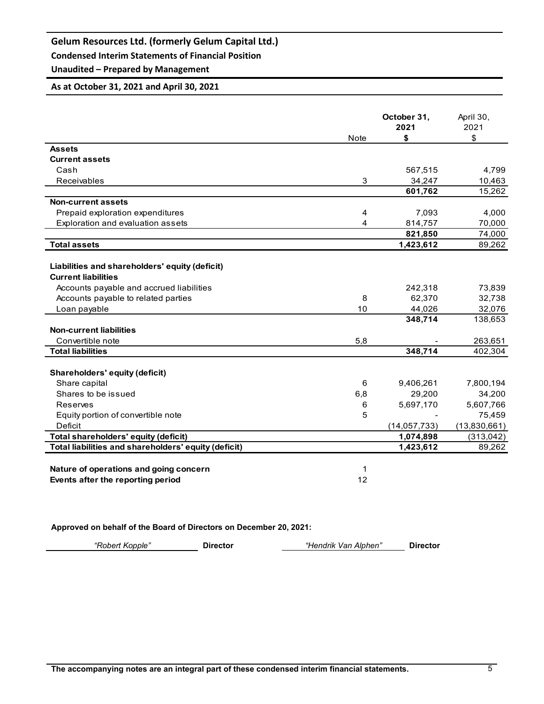**Condensed Interim Statements of Financial Position**

# **Unaudited – Prepared by Management**

## **As at October 31, 2021 and April 30, 2021**

|                                                      | <b>Note</b> | October 31,<br>2021<br>\$ | April 30,<br>2021<br>\$ |
|------------------------------------------------------|-------------|---------------------------|-------------------------|
| <b>Assets</b>                                        |             |                           |                         |
| <b>Current assets</b>                                |             |                           |                         |
| Cash                                                 |             | 567,515                   | 4,799                   |
| Receivables                                          | 3           | 34.247                    | 10,463                  |
|                                                      |             | 601,762                   | 15,262                  |
| <b>Non-current assets</b>                            |             |                           |                         |
| Prepaid exploration expenditures                     | 4           | 7,093                     | 4,000                   |
| Exploration and evaluation assets                    | 4           | 814,757                   | 70,000                  |
|                                                      |             | 821,850                   | 74,000                  |
| <b>Total assets</b>                                  |             | 1,423,612                 | 89,262                  |
|                                                      |             |                           |                         |
| Liabilities and shareholders' equity (deficit)       |             |                           |                         |
| <b>Current liabilities</b>                           |             |                           |                         |
| Accounts payable and accrued liabilities             |             | 242,318                   | 73,839                  |
| Accounts payable to related parties                  | 8           | 62,370                    | 32,738                  |
| Loan payable                                         | 10          | 44,026                    | 32,076                  |
|                                                      |             | 348,714                   | 138,653                 |
| <b>Non-current liabilities</b>                       |             |                           |                         |
| Convertible note                                     | 5,8         |                           | 263,651                 |
| <b>Total liabilities</b>                             |             | 348,714                   | 402,304                 |
| Shareholders' equity (deficit)                       |             |                           |                         |
| Share capital                                        | 6           | 9,406,261                 | 7,800,194               |
| Shares to be issued                                  | 6,8         | 29,200                    | 34,200                  |
| Reserves                                             | 6           | 5,697,170                 | 5,607,766               |
| Equity portion of convertible note                   | 5           |                           | 75,459                  |
| Deficit                                              |             | (14, 057, 733)            | (13,830,661)            |
| Total shareholders' equity (deficit)                 |             | 1,074,898                 | (313,042)               |
| Total liabilities and shareholders' equity (deficit) |             | 1,423,612                 | 89,262                  |
|                                                      |             |                           |                         |
| Nature of operations and going concern               | 1           |                           |                         |
| Events after the reporting period                    | 12          |                           |                         |

**Approved on behalf of the Board of Directors on December 20, 2021:**

*"Robert Kopple"* **Director** *"Hendrik Van Alphen"* **Director**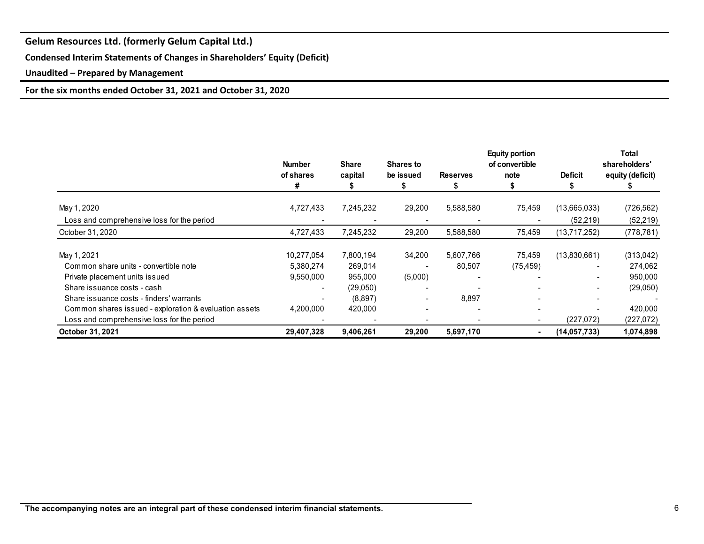**Condensed Interim Statements of Changes in Shareholders' Equity (Deficit)**

**Unaudited – Prepared by Management**

**For the six months ended October 31, 2021 and October 31, 2020**

|                                                        | <b>Number</b><br>of shares<br># | <b>Share</b><br>capital | Shares to<br>be issued | <b>Reserves</b> | <b>Equity portion</b><br>of convertible<br>note | <b>Deficit</b>           | Total<br>shareholders'<br>equity (deficit) |
|--------------------------------------------------------|---------------------------------|-------------------------|------------------------|-----------------|-------------------------------------------------|--------------------------|--------------------------------------------|
| May 1, 2020                                            | 4,727,433                       | 7,245,232               | 29,200                 | 5,588,580       | 75,459                                          | (13,665,033)             | (726, 562)                                 |
| Loss and comprehensive loss for the period             |                                 |                         |                        |                 |                                                 | (52, 219)                | (52, 219)                                  |
| October 31, 2020                                       | 4,727,433                       | 7,245,232               | 29,200                 | 5,588,580       | 75,459                                          | (13,717,252)             | (778, 781)                                 |
| May 1, 2021                                            | 10,277,054                      | 7,800,194               | 34,200                 | 5,607,766       | 75,459                                          | (13,830,661)             | (313,042)                                  |
| Common share units - convertible note                  | 5,380,274                       | 269,014                 |                        | 80,507          | (75, 459)                                       | $\overline{\phantom{a}}$ | 274,062                                    |
| Private placement units issued                         | 9,550,000                       | 955,000                 | (5,000)                |                 |                                                 |                          | 950,000                                    |
| Share issuance costs - cash                            |                                 | (29,050)                |                        |                 |                                                 |                          | (29,050)                                   |
| Share is suance costs - finders' warrants              |                                 | (8,897)                 |                        | 8,897           |                                                 |                          |                                            |
| Common shares issued - exploration & evaluation assets | 4,200,000                       | 420,000                 |                        |                 |                                                 |                          | 420,000                                    |
| Loss and comprehensive loss for the period             |                                 |                         |                        |                 |                                                 | (227,072)                | (227,072)                                  |
| October 31, 2021                                       | 29,407,328                      | 9,406,261               | 29,200                 | 5,697,170       |                                                 | (14, 057, 733)           | 1,074,898                                  |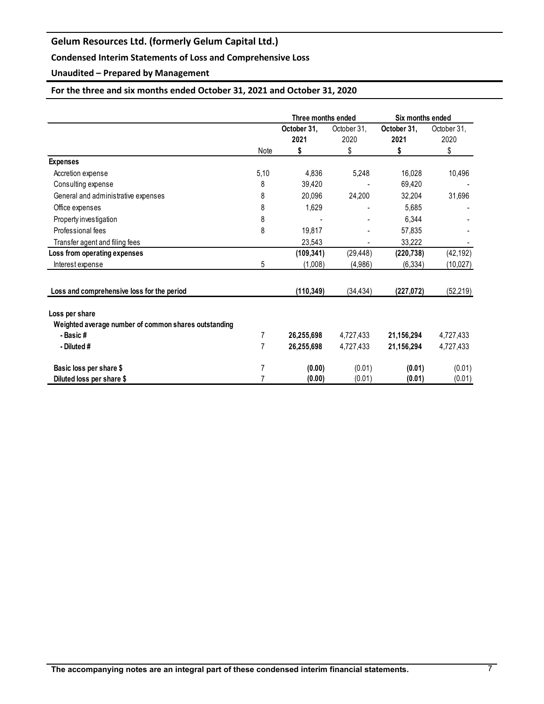## **Condensed Interim Statements of Loss and Comprehensive Loss**

**Unaudited – Prepared by Management**

## **For the three and six months ended October 31, 2021 and October 31, 2020**

|                                                      |      | Three months ended  |                     | Six months ended    |                     |
|------------------------------------------------------|------|---------------------|---------------------|---------------------|---------------------|
|                                                      |      | October 31,<br>2021 | October 31,<br>2020 | October 31,<br>2021 | October 31,<br>2020 |
|                                                      | Note | \$                  | \$                  | \$                  | \$                  |
| <b>Expenses</b>                                      |      |                     |                     |                     |                     |
| Accretion expense                                    | 5,10 | 4,836               | 5,248               | 16,028              | 10,496              |
| Consulting expense                                   | 8    | 39,420              |                     | 69,420              |                     |
| General and administrative expenses                  | 8    | 20,096              | 24,200              | 32,204              | 31,696              |
| Office expenses                                      | 8    | 1,629               |                     | 5,685               |                     |
| Property investigation                               | 8    |                     |                     | 6,344               |                     |
| Professional fees                                    | 8    | 19,817              |                     | 57,835              |                     |
| Transfer agent and filing fees                       |      | 23,543              | $\blacksquare$      | 33,222              |                     |
| Loss from operating expenses                         |      | (109, 341)          | (29, 448)           | (220, 738)          | (42, 192)           |
| Interest expense                                     | 5    | (1,008)             | (4,986)             | (6, 334)            | (10, 027)           |
| Loss and comprehensive loss for the period           |      | (110, 349)          | (34, 434)           | (227, 072)          | (52, 219)           |
| Loss per share                                       |      |                     |                     |                     |                     |
| Weighted average number of common shares outstanding |      |                     |                     |                     |                     |
| - Basic#                                             | 7    | 26,255,698          | 4,727,433           | 21,156,294          | 4,727,433           |
| - Diluted #                                          | 7    | 26,255,698          | 4,727,433           | 21,156,294          | 4,727,433           |
| Basic loss per share \$                              |      | (0.00)              | (0.01)              | (0.01)              | (0.01)              |
| Diluted loss per share \$                            |      | (0.00)              | (0.01)              | (0.01)              | (0.01)              |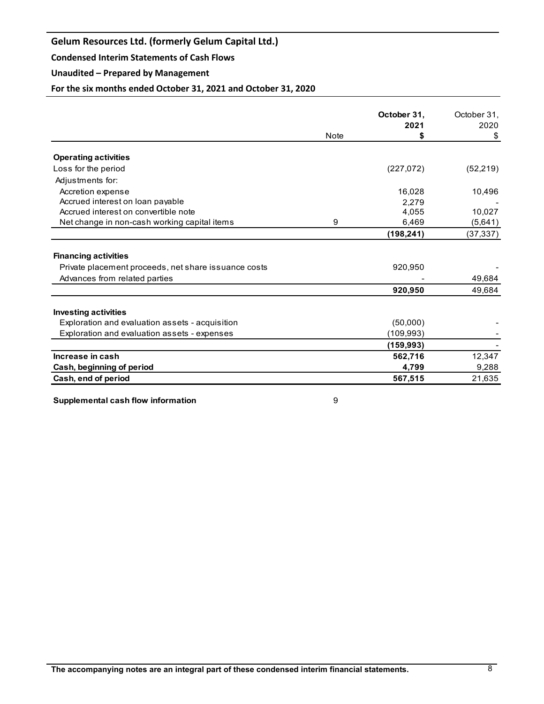**Condensed Interim Statements of Cash Flows**

## **Unaudited – Prepared by Management**

**For the six months ended October 31, 2021 and October 31, 2020**

|                                                      |             | October 31,<br>2021 | October 31.<br>2020 |
|------------------------------------------------------|-------------|---------------------|---------------------|
|                                                      | <b>Note</b> | S                   | \$                  |
| <b>Operating activities</b>                          |             |                     |                     |
| Loss for the period                                  |             | (227,072)           | (52, 219)           |
| Adjustments for:                                     |             |                     |                     |
| Accretion expense                                    |             | 16,028              | 10,496              |
| Accrued interest on loan payable                     |             | 2.279               |                     |
| Accrued interest on convertible note                 |             | 4.055               | 10,027              |
| Net change in non-cash working capital items         | 9           | 6,469               | (5,641)             |
|                                                      |             | (198, 241)          | (37, 337)           |
| <b>Financing activities</b>                          |             |                     |                     |
| Private placement proceeds, net share issuance costs |             | 920,950             |                     |
| Advances from related parties                        |             |                     | 49,684              |
|                                                      |             | 920,950             | 49,684              |
| <b>Investing activities</b>                          |             |                     |                     |
| Exploration and evaluation assets - acquisition      |             | (50,000)            |                     |
| Exploration and evaluation assets - expenses         |             | (109,993)           |                     |
|                                                      |             | (159, 993)          |                     |
| Increase in cash                                     |             | 562,716             | 12,347              |
| Cash, beginning of period                            |             | 4,799               | 9,288               |
| Cash, end of period                                  |             | 567,515             | 21,635              |

**Supplemental cash flow information 19 and 19 and 19 and 19 and 19 and 19 and 19 and 19 and 19 and 19 and 19 and 19 and 19 and 19 and 19 and 19 and 19 and 19 and 19 and 19 and 19 and 19 and 19 and 19 and 19 and 19 and 19**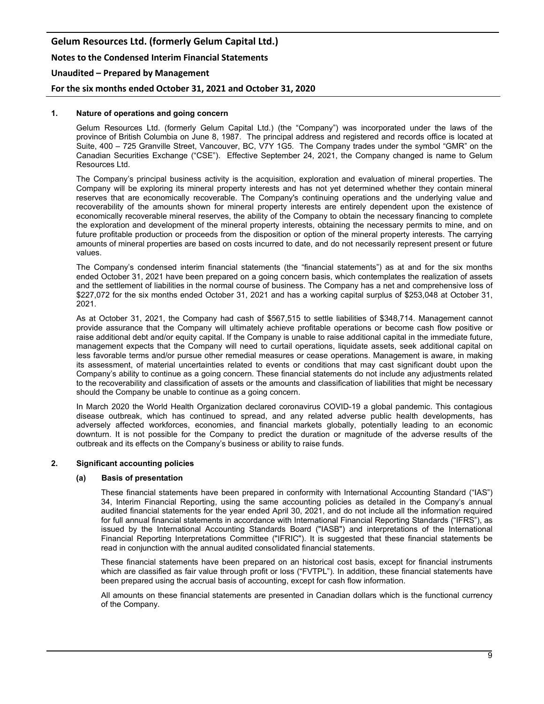# **Gelum Resources Ltd. (formerly Gelum Capital Ltd.) Notes to the Condensed Interim Financial Statements Unaudited – Prepared by Management**

**For the six months ended October 31, 2021 and October 31, 2020**

## **1. Nature of operations and going concern**

Gelum Resources Ltd. (formerly Gelum Capital Ltd.) (the "Company") was incorporated under the laws of the province of British Columbia on June 8, 1987. The principal address and registered and records office is located at Suite, 400 – 725 Granville Street, Vancouver, BC, V7Y 1G5. The Company trades under the symbol "GMR" on the Canadian Securities Exchange ("CSE"). Effective September 24, 2021, the Company changed is name to Gelum Resources Ltd.

The Company's principal business activity is the acquisition, exploration and evaluation of mineral properties. The Company will be exploring its mineral property interests and has not yet determined whether they contain mineral reserves that are economically recoverable. The Company's continuing operations and the underlying value and recoverability of the amounts shown for mineral property interests are entirely dependent upon the existence of economically recoverable mineral reserves, the ability of the Company to obtain the necessary financing to complete the exploration and development of the mineral property interests, obtaining the necessary permits to mine, and on future profitable production or proceeds from the disposition or option of the mineral property interests. The carrying amounts of mineral properties are based on costs incurred to date, and do not necessarily represent present or future values.

The Company's condensed interim financial statements (the "financial statements") as at and for the six months ended October 31, 2021 have been prepared on a going concern basis, which contemplates the realization of assets and the settlement of liabilities in the normal course of business. The Company has a net and comprehensive loss of \$227,072 for the six months ended October 31, 2021 and has a working capital surplus of \$253,048 at October 31, 2021.

As at October 31, 2021, the Company had cash of \$567,515 to settle liabilities of \$348,714. Management cannot provide assurance that the Company will ultimately achieve profitable operations or become cash flow positive or raise additional debt and/or equity capital. If the Company is unable to raise additional capital in the immediate future, management expects that the Company will need to curtail operations, liquidate assets, seek additional capital on less favorable terms and/or pursue other remedial measures or cease operations. Management is aware, in making its assessment, of material uncertainties related to events or conditions that may cast significant doubt upon the Company's ability to continue as a going concern. These financial statements do not include any adjustments related to the recoverability and classification of assets or the amounts and classification of liabilities that might be necessary should the Company be unable to continue as a going concern.

In March 2020 the World Health Organization declared coronavirus COVID-19 a global pandemic. This contagious disease outbreak, which has continued to spread, and any related adverse public health developments, has adversely affected workforces, economies, and financial markets globally, potentially leading to an economic downturn. It is not possible for the Company to predict the duration or magnitude of the adverse results of the outbreak and its effects on the Company's business or ability to raise funds.

#### **2. Significant accounting policies**

#### **(a) Basis of presentation**

These financial statements have been prepared in conformity with International Accounting Standard ("IAS") 34, Interim Financial Reporting, using the same accounting policies as detailed in the Company's annual audited financial statements for the year ended April 30, 2021, and do not include all the information required for full annual financial statements in accordance with International Financial Reporting Standards ("IFRS"), as issued by the International Accounting Standards Board ("IASB") and interpretations of the International Financial Reporting Interpretations Committee ("IFRIC"). It is suggested that these financial statements be read in conjunction with the annual audited consolidated financial statements.

These financial statements have been prepared on an historical cost basis, except for financial instruments which are classified as fair value through profit or loss ("FVTPL"). In addition, these financial statements have been prepared using the accrual basis of accounting, except for cash flow information.

All amounts on these financial statements are presented in Canadian dollars which is the functional currency of the Company.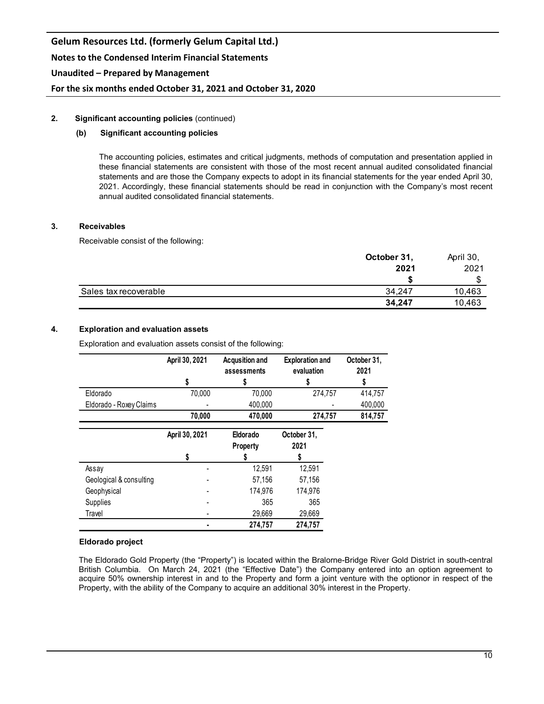#### **2. Significant accounting policies** (continued)

#### **(b) Significant accounting policies**

The accounting policies, estimates and critical judgments, methods of computation and presentation applied in these financial statements are consistent with those of the most recent annual audited consolidated financial statements and are those the Company expects to adopt in its financial statements for the year ended April 30, 2021. Accordingly, these financial statements should be read in conjunction with the Company's most recent annual audited consolidated financial statements.

#### **3. Receivables**

Receivable consist of the following:

|                       | October 31, | April 30, |
|-----------------------|-------------|-----------|
|                       | 2021        | 2021      |
|                       |             |           |
| Sales tax recoverable | 34.247      | 10,463    |
|                       | 34.247      | 10,463    |

## **4. Exploration and evaluation assets**

Exploration and evaluation assets consist of the following:

|                         | April 30, 2021 | <b>Acqusition and</b><br>assessments | <b>Exploration and</b><br>evaluation | October 31,<br>2021 |
|-------------------------|----------------|--------------------------------------|--------------------------------------|---------------------|
|                         | \$             | \$                                   | S                                    |                     |
| Eldorado                | 70,000         | 70,000                               | 274,757                              | 414,757             |
| Eldorado - Roxey Claims |                | 400,000                              |                                      | 400,000             |
|                         | 70,000         | 470,000                              | 274,757                              | 814,757             |
|                         | April 30, 2021 | Eldorado<br><b>Property</b>          | October 31,<br>2021                  |                     |
|                         | \$             |                                      | S                                    |                     |
| Assay                   |                | 12,591                               | 12,591                               |                     |
| Geological & consulting |                | 57,156                               | 57,156                               |                     |
| Geophysical             |                | 174,976                              | 174,976                              |                     |
| Supplies                |                | 365                                  | 365                                  |                     |
| Travel                  |                | 29,669                               | 29,669                               |                     |
|                         |                | 274,757                              | 274,757                              |                     |

#### **Eldorado project**

The Eldorado Gold Property (the "Property") is located within the Bralorne-Bridge River Gold District in south-central British Columbia. On March 24, 2021 (the "Effective Date") the Company entered into an option agreement to acquire 50% ownership interest in and to the Property and form a joint venture with the optionor in respect of the Property, with the ability of the Company to acquire an additional 30% interest in the Property.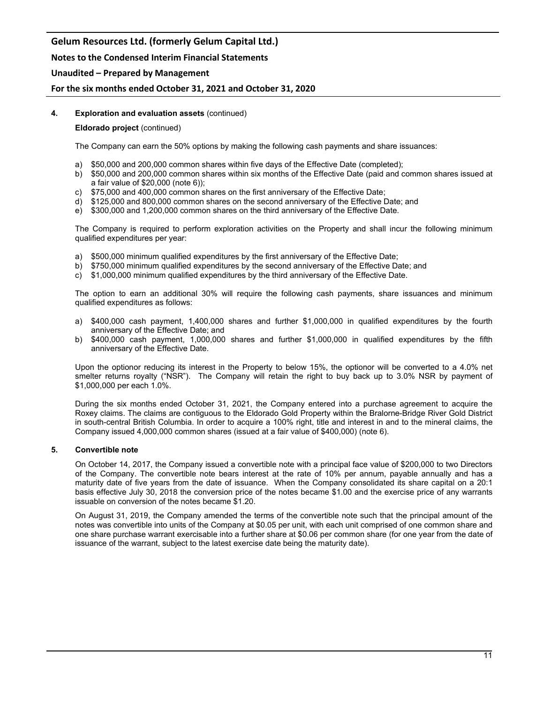## **Notes to the Condensed Interim Financial Statements**

## **Unaudited – Prepared by Management**

## **For the six months ended October 31, 2021 and October 31, 2020**

## **4. Exploration and evaluation assets** (continued)

### **Eldorado project** (continued)

The Company can earn the 50% options by making the following cash payments and share issuances:

- a) \$50,000 and 200,000 common shares within five days of the Effective Date (completed);
- b) \$50,000 and 200,000 common shares within six months of the Effective Date (paid and common shares issued at a fair value of \$20,000 (note 6));
- c) \$75,000 and 400,000 common shares on the first anniversary of the Effective Date;
- d) \$125,000 and 800,000 common shares on the second anniversary of the Effective Date; and
- e) \$300,000 and 1,200,000 common shares on the third anniversary of the Effective Date.

The Company is required to perform exploration activities on the Property and shall incur the following minimum qualified expenditures per year:

- a) \$500,000 minimum qualified expenditures by the first anniversary of the Effective Date;
- b) \$750,000 minimum qualified expenditures by the second anniversary of the Effective Date; and
- c) \$1,000,000 minimum qualified expenditures by the third anniversary of the Effective Date.

The option to earn an additional 30% will require the following cash payments, share issuances and minimum qualified expenditures as follows:

- a) \$400,000 cash payment, 1,400,000 shares and further \$1,000,000 in qualified expenditures by the fourth anniversary of the Effective Date; and
- b) \$400,000 cash payment, 1,000,000 shares and further \$1,000,000 in qualified expenditures by the fifth anniversary of the Effective Date.

Upon the optionor reducing its interest in the Property to below 15%, the optionor will be converted to a 4.0% net smelter returns royalty ("NSR"). The Company will retain the right to buy back up to 3.0% NSR by payment of \$1,000,000 per each 1.0%.

During the six months ended October 31, 2021, the Company entered into a purchase agreement to acquire the Roxey claims. The claims are contiguous to the Eldorado Gold Property within the Bralorne-Bridge River Gold District in south-central British Columbia. In order to acquire a 100% right, title and interest in and to the mineral claims, the Company issued 4,000,000 common shares (issued at a fair value of \$400,000) (note 6).

#### **5. Convertible note**

On October 14, 2017, the Company issued a convertible note with a principal face value of \$200,000 to two Directors of the Company. The convertible note bears interest at the rate of 10% per annum, payable annually and has a maturity date of five years from the date of issuance. When the Company consolidated its share capital on a 20:1 basis effective July 30, 2018 the conversion price of the notes became \$1.00 and the exercise price of any warrants issuable on conversion of the notes became \$1.20.

On August 31, 2019, the Company amended the terms of the convertible note such that the principal amount of the notes was convertible into units of the Company at \$0.05 per unit, with each unit comprised of one common share and one share purchase warrant exercisable into a further share at \$0.06 per common share (for one year from the date of issuance of the warrant, subject to the latest exercise date being the maturity date).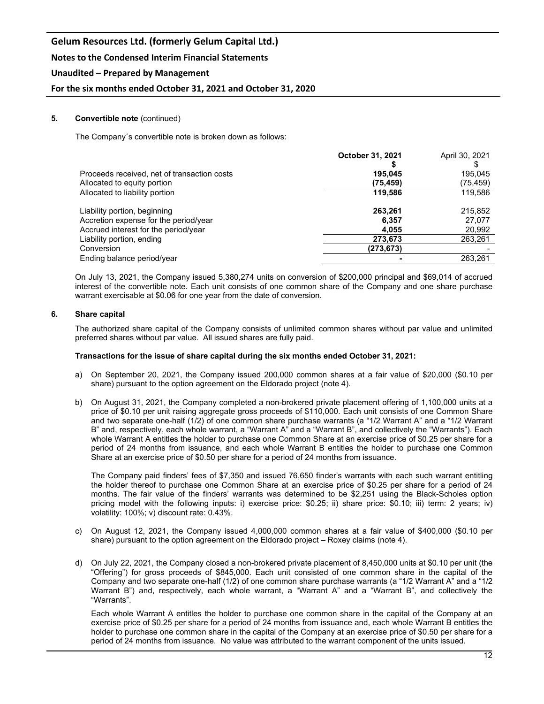## **Notes to the Condensed Interim Financial Statements**

## **Unaudited – Prepared by Management**

## **For the six months ended October 31, 2021 and October 31, 2020**

#### **5. Convertible note** (continued)

The Company´s convertible note is broken down as follows:

|                                             | <b>October 31, 2021</b> | April 30, 2021 |
|---------------------------------------------|-------------------------|----------------|
| Proceeds received, net of transaction costs | 195.045                 | 195,045        |
| Allocated to equity portion                 | (75, 459)               | (75,459)       |
| Allocated to liability portion              | 119.586                 | 119,586        |
| Liability portion, beginning                | 263,261                 | 215.852        |
| Accretion expense for the period/year       | 6,357                   | 27,077         |
| Accrued interest for the period/year        | 4.055                   | 20,992         |
| Liability portion, ending                   | 273,673                 | 263,261        |
| Conversion                                  | (273,673)               |                |
| Ending balance period/year                  |                         | 263,261        |
|                                             |                         |                |

On July 13, 2021, the Company issued 5,380,274 units on conversion of \$200,000 principal and \$69,014 of accrued interest of the convertible note. Each unit consists of one common share of the Company and one share purchase warrant exercisable at \$0.06 for one year from the date of conversion.

#### **6. Share capital**

The authorized share capital of the Company consists of unlimited common shares without par value and unlimited preferred shares without par value. All issued shares are fully paid.

#### **Transactions for the issue of share capital during the six months ended October 31, 2021:**

- a) On September 20, 2021, the Company issued 200,000 common shares at a fair value of \$20,000 (\$0.10 per share) pursuant to the option agreement on the Eldorado project (note 4).
- b) On August 31, 2021, the Company completed a non-brokered private placement offering of 1,100,000 units at a price of \$0.10 per unit raising aggregate gross proceeds of \$110,000. Each unit consists of one Common Share and two separate one-half (1/2) of one common share purchase warrants (a "1/2 Warrant A" and a "1/2 Warrant B" and, respectively, each whole warrant, a "Warrant A" and a "Warrant B", and collectively the "Warrants"). Each whole Warrant A entitles the holder to purchase one Common Share at an exercise price of \$0.25 per share for a period of 24 months from issuance, and each whole Warrant B entitles the holder to purchase one Common Share at an exercise price of \$0.50 per share for a period of 24 months from issuance.

The Company paid finders' fees of \$7,350 and issued 76,650 finder's warrants with each such warrant entitling the holder thereof to purchase one Common Share at an exercise price of \$0.25 per share for a period of 24 months. The fair value of the finders' warrants was determined to be \$2,251 using the Black-Scholes option pricing model with the following inputs: i) exercise price: \$0.25; ii) share price: \$0.10; iii) term: 2 years; iv) volatility: 100%; v) discount rate: 0.43%.

- c) On August 12, 2021, the Company issued 4,000,000 common shares at a fair value of \$400,000 (\$0.10 per share) pursuant to the option agreement on the Eldorado project – Roxey claims (note 4).
- d) On July 22, 2021, the Company closed a non-brokered private placement of 8,450,000 units at \$0.10 per unit (the "Offering") for gross proceeds of \$845,000. Each unit consisted of one common share in the capital of the Company and two separate one-half (1/2) of one common share purchase warrants (a "1/2 Warrant A" and a "1/2 Warrant B") and, respectively, each whole warrant, a "Warrant A" and a "Warrant B", and collectively the "Warrants".

Each whole Warrant A entitles the holder to purchase one common share in the capital of the Company at an exercise price of \$0.25 per share for a period of 24 months from issuance and, each whole Warrant B entitles the holder to purchase one common share in the capital of the Company at an exercise price of \$0.50 per share for a period of 24 months from issuance. No value was attributed to the warrant component of the units issued.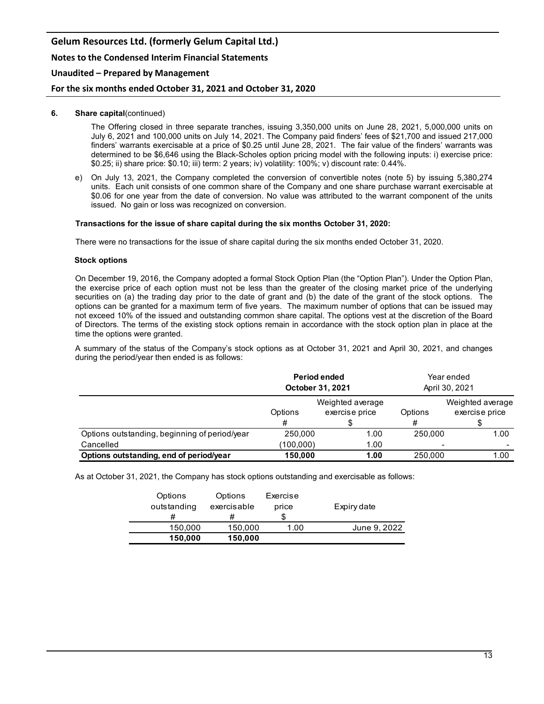# **Gelum Resources Ltd. (formerly Gelum Capital Ltd.) Notes to the Condensed Interim Financial Statements Unaudited – Prepared by Management**

## **For the six months ended October 31, 2021 and October 31, 2020**

### **6. Share capital**(continued)

The Offering closed in three separate tranches, issuing 3,350,000 units on June 28, 2021, 5,000,000 units on July 6, 2021 and 100,000 units on July 14, 2021. The Company paid finders' fees of \$21,700 and issued 217,000 finders' warrants exercisable at a price of \$0.25 until June 28, 2021. The fair value of the finders' warrants was determined to be \$6,646 using the Black-Scholes option pricing model with the following inputs: i) exercise price: \$0.25; ii) share price: \$0.10; iii) term: 2 years; iv) volatility: 100%; v) discount rate: 0.44%.

e) On July 13, 2021, the Company completed the conversion of convertible notes (note 5) by issuing 5,380,274 units. Each unit consists of one common share of the Company and one share purchase warrant exercisable at \$0.06 for one year from the date of conversion. No value was attributed to the warrant component of the units issued. No gain or loss was recognized on conversion.

#### **Transactions for the issue of share capital during the six months October 31, 2020:**

There were no transactions for the issue of share capital during the six months ended October 31, 2020.

#### **Stock options**

On December 19, 2016, the Company adopted a formal Stock Option Plan (the "Option Plan"). Under the Option Plan, the exercise price of each option must not be less than the greater of the closing market price of the underlying securities on (a) the trading day prior to the date of grant and (b) the date of the grant of the stock options. The options can be granted for a maximum term of five years. The maximum number of options that can be issued may not exceed 10% of the issued and outstanding common share capital. The options vest at the discretion of the Board of Directors. The terms of the existing stock options remain in accordance with the stock option plan in place at the time the options were granted.

A summary of the status of the Company's stock options as at October 31, 2021 and April 30, 2021, and changes during the period/year then ended is as follows:

|                                               |           | Period ended<br>October 31, 2021   |              | Year ended<br>April 30, 2021       |
|-----------------------------------------------|-----------|------------------------------------|--------------|------------------------------------|
|                                               | Options   | Weighted average<br>exercise price | Options<br># | Weighted average<br>exercise price |
| Options outstanding, beginning of period/year | 250,000   | 1.00                               | 250,000      | 1.00                               |
| Cancelled                                     | (100,000) | 1.00                               |              |                                    |
| Options outstanding, end of period/year       | 150,000   | 1.00                               | 250,000      | 1.00                               |

As at October 31, 2021, the Company has stock options outstanding and exercisable as follows:

| Options<br>outstanding<br># | Options<br>exercisable<br># | Exercise<br>price<br>S | Expiry date  |
|-----------------------------|-----------------------------|------------------------|--------------|
| 150,000                     | 150.000                     | 1.00                   | June 9, 2022 |
| 150,000                     | 150.000                     |                        |              |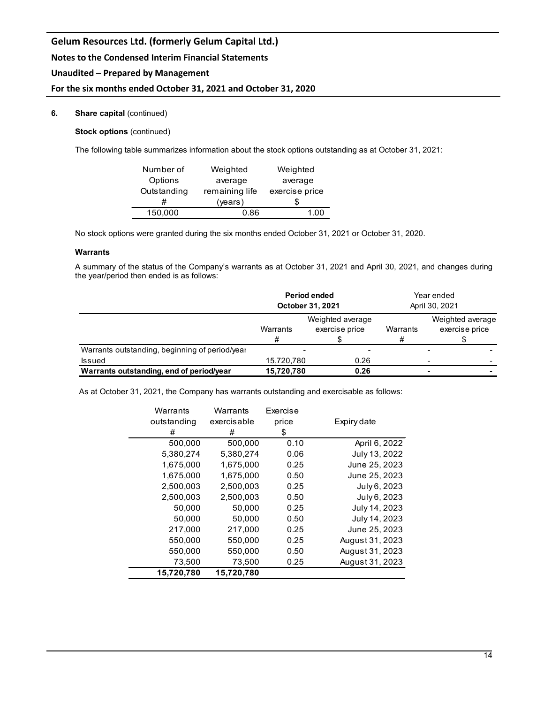# **For the six months ended October 31, 2021 and October 31, 2020**

## **6. Share capital** (continued)

**Stock options** (continued)

The following table summarizes information about the stock options outstanding as at October 31, 2021:

| Number of   | Weighted       | Weighted       |
|-------------|----------------|----------------|
| Options     | average        | average        |
| Outstanding | remaining life | exercise price |
| #           | (years)        | 5              |
| 150,000     | በ ጸ6           |                |

No stock options were granted during the six months ended October 31, 2021 or October 31, 2020.

## **Warrants**

A summary of the status of the Company's warrants as at October 31, 2021 and April 30, 2021, and changes during the year/period then ended is as follows:

|                                                |                                                     | <b>Period ended</b><br>October 31, 2021 |               | Year ended<br>April 30, 2021       |
|------------------------------------------------|-----------------------------------------------------|-----------------------------------------|---------------|------------------------------------|
|                                                | Weighted average<br>exercise price<br>Warrants<br># |                                         | Warrants<br># | Weighted average<br>exercise price |
| Warrants outstanding, beginning of period/year | -                                                   |                                         |               |                                    |
| <b>Issued</b>                                  | 15,720,780                                          | 0.26                                    |               |                                    |
| Warrants outstanding, end of period/year       | 15,720,780                                          | 0.26                                    |               |                                    |

As at October 31, 2021, the Company has warrants outstanding and exercisable as follows:

| Warrants    | Warrants    | Exercise |                 |
|-------------|-------------|----------|-----------------|
| outstanding | exercisable | price    | Expiry date     |
| #           | #           | \$       |                 |
| 500,000     | 500,000     | 0.10     | April 6, 2022   |
| 5,380,274   | 5,380,274   | 0.06     | July 13, 2022   |
| 1,675,000   | 1,675,000   | 0.25     | June 25, 2023   |
| 1,675,000   | 1,675,000   | 0.50     | June 25, 2023   |
| 2.500.003   | 2.500.003   | 0.25     | July 6, 2023    |
| 2,500,003   | 2,500,003   | 0.50     | July 6, 2023    |
| 50,000      | 50,000      | 0.25     | July 14, 2023   |
| 50.000      | 50.000      | 0.50     | July 14, 2023   |
| 217,000     | 217,000     | 0.25     | June 25, 2023   |
| 550,000     | 550,000     | 0.25     | August 31, 2023 |
| 550,000     | 550,000     | 0.50     | August 31, 2023 |
| 73,500      | 73,500      | 0.25     | August 31, 2023 |
| 15,720,780  | 15,720,780  |          |                 |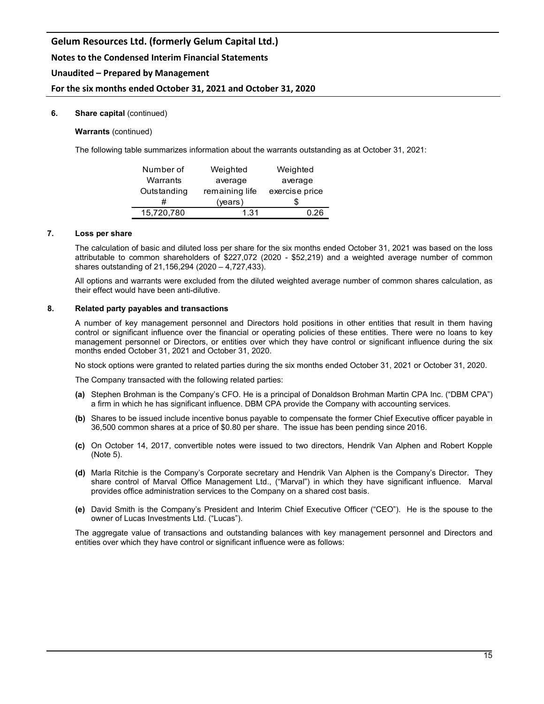## **Notes to the Condensed Interim Financial Statements**

## **Unaudited – Prepared by Management**

## **For the six months ended October 31, 2021 and October 31, 2020**

#### **6.** Share capital (continued)

#### **Warrants** (continued)

The following table summarizes information about the warrants outstanding as at October 31, 2021:

| Number of   | Weighted       | Weighted       |  |
|-------------|----------------|----------------|--|
| Warrants    | average        | average        |  |
| Outstanding | remaining life | exercise price |  |
|             | (years)        |                |  |
| 15,720,780  | 1.31           | በ 26           |  |

### **7. Loss per share**

The calculation of basic and diluted loss per share for the six months ended October 31, 2021 was based on the loss attributable to common shareholders of \$227,072 (2020 - \$52,219) and a weighted average number of common shares outstanding of 21,156,294 (2020 – 4,727,433).

All options and warrants were excluded from the diluted weighted average number of common shares calculation, as their effect would have been anti-dilutive.

#### **8. Related party payables and transactions**

A number of key management personnel and Directors hold positions in other entities that result in them having control or significant influence over the financial or operating policies of these entities. There were no loans to key management personnel or Directors, or entities over which they have control or significant influence during the six months ended October 31, 2021 and October 31, 2020.

No stock options were granted to related parties during the six months ended October 31, 2021 or October 31, 2020.

The Company transacted with the following related parties:

- **(a)** Stephen Brohman is the Company's CFO. He is a principal of Donaldson Brohman Martin CPA Inc. ("DBM CPA") a firm in which he has significant influence. DBM CPA provide the Company with accounting services.
- **(b)** Shares to be issued include incentive bonus payable to compensate the former Chief Executive officer payable in 36,500 common shares at a price of \$0.80 per share. The issue has been pending since 2016.
- **(c)** On October 14, 2017, convertible notes were issued to two directors, Hendrik Van Alphen and Robert Kopple (Note 5).
- **(d)** Marla Ritchie is the Company's Corporate secretary and Hendrik Van Alphen is the Company's Director. They share control of Marval Office Management Ltd., ("Marval") in which they have significant influence. Marval provides office administration services to the Company on a shared cost basis.
- **(e)** David Smith is the Company's President and Interim Chief Executive Officer ("CEO"). He is the spouse to the owner of Lucas Investments Ltd. ("Lucas").

The aggregate value of transactions and outstanding balances with key management personnel and Directors and entities over which they have control or significant influence were as follows: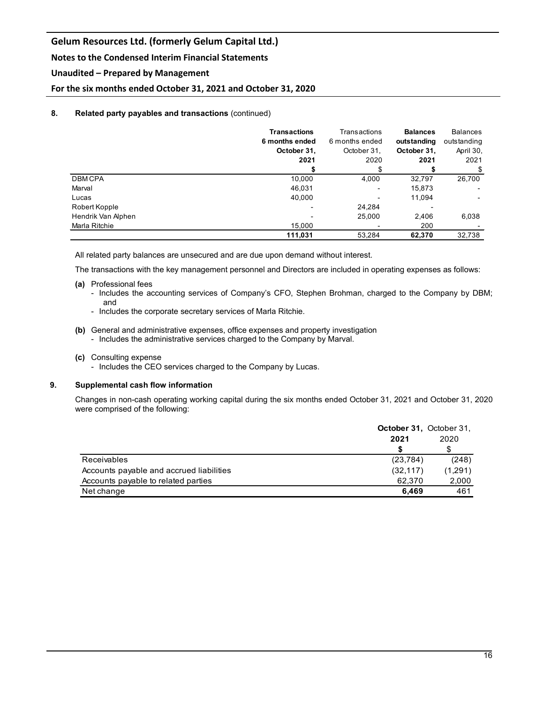## **Notes to the Condensed Interim Financial Statements**

## **Unaudited – Prepared by Management**

**For the six months ended October 31, 2021 and October 31, 2020**

## **8. Related party payables and transactions** (continued)

|                    | <b>Transactions</b><br>6 months ended<br>October 31, | Transactions<br>6 months ended | <b>Balances</b><br>outstanding | <b>Balances</b><br>outstanding<br>April 30, |
|--------------------|------------------------------------------------------|--------------------------------|--------------------------------|---------------------------------------------|
|                    |                                                      | October 31,                    | October 31,                    |                                             |
|                    | 2021                                                 | 2020                           | 2021                           | 2021                                        |
|                    |                                                      |                                |                                | \$                                          |
| <b>DBMCPA</b>      | 10,000                                               | 4,000                          | 32,797                         | 26,700                                      |
| Marval             | 46.031                                               |                                | 15,873                         |                                             |
| Lucas              | 40,000                                               |                                | 11,094                         |                                             |
| Robert Kopple      |                                                      | 24,284                         |                                |                                             |
| Hendrik Van Alphen |                                                      | 25,000                         | 2,406                          | 6,038                                       |
| Marla Ritchie      | 15,000                                               |                                | 200                            |                                             |
|                    | 111,031                                              | 53,284                         | 62,370                         | 32,738                                      |

All related party balances are unsecured and are due upon demand without interest.

The transactions with the key management personnel and Directors are included in operating expenses as follows:

#### **(a)** Professional fees

- Includes the accounting services of Company's CFO, Stephen Brohman, charged to the Company by DBM; and
- Includes the corporate secretary services of Marla Ritchie.
- **(b)** General and administrative expenses, office expenses and property investigation - Includes the administrative services charged to the Company by Marval.
- **(c)** Consulting expense
	- Includes the CEO services charged to the Company by Lucas.

#### **9. Supplemental cash flow information**

Changes in non-cash operating working capital during the six months ended October 31, 2021 and October 31, 2020 were comprised of the following:

|                                          | <b>October 31. October 31.</b> |         |  |
|------------------------------------------|--------------------------------|---------|--|
|                                          | 2021                           | 2020    |  |
|                                          |                                | S       |  |
| Receivables                              | (23, 784)                      | (248)   |  |
| Accounts payable and accrued liabilities | (32, 117)                      | (1,291) |  |
| Accounts payable to related parties      | 62.370                         | 2,000   |  |
| Net change                               | 6.469                          | 461     |  |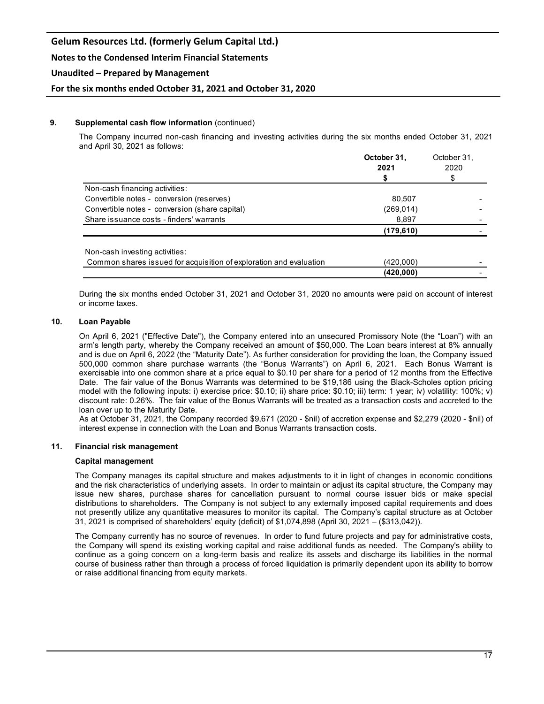## **Notes to the Condensed Interim Financial Statements**

## **Unaudited – Prepared by Management**

**For the six months ended October 31, 2021 and October 31, 2020**

### **9. Supplemental cash flow information** (continued)

The Company incurred non-cash financing and investing activities during the six months ended October 31, 2021 and April 30, 2021 as follows:

|                                                                    | October 31, | October 31,<br>2020<br>\$ |  |
|--------------------------------------------------------------------|-------------|---------------------------|--|
|                                                                    | 2021        |                           |  |
|                                                                    |             |                           |  |
| Non-cash financing activities:                                     |             |                           |  |
| Convertible notes - conversion (reserves)                          | 80,507      |                           |  |
| Convertible notes - conversion (share capital)                     | (269,014)   |                           |  |
| Share issuance costs - finders' warrants                           | 8,897       |                           |  |
|                                                                    | (179,610)   |                           |  |
| Non-cash investing activities:                                     |             |                           |  |
| Common shares issued for acquisition of exploration and evaluation | (420,000)   |                           |  |
|                                                                    | (420,000)   |                           |  |

During the six months ended October 31, 2021 and October 31, 2020 no amounts were paid on account of interest or income taxes.

## **10. Loan Payable**

On April 6, 2021 ("Effective Date"), the Company entered into an unsecured Promissory Note (the "Loan") with an arm's length party, whereby the Company received an amount of \$50,000. The Loan bears interest at 8% annually and is due on April 6, 2022 (the "Maturity Date"). As further consideration for providing the loan, the Company issued 500,000 common share purchase warrants (the "Bonus Warrants") on April 6, 2021. Each Bonus Warrant is exercisable into one common share at a price equal to \$0.10 per share for a period of 12 months from the Effective Date. The fair value of the Bonus Warrants was determined to be \$19,186 using the Black-Scholes option pricing model with the following inputs: i) exercise price: \$0.10; ii) share price: \$0.10; iii) term: 1 year; iv) volatility: 100%; v) discount rate: 0.26%. The fair value of the Bonus Warrants will be treated as a transaction costs and accreted to the loan over up to the Maturity Date.

As at October 31, 2021, the Company recorded \$9,671 (2020 - \$nil) of accretion expense and \$2,279 (2020 - \$nil) of interest expense in connection with the Loan and Bonus Warrants transaction costs.

#### **11. Financial risk management**

#### **Capital management**

The Company manages its capital structure and makes adjustments to it in light of changes in economic conditions and the risk characteristics of underlying assets. In order to maintain or adjust its capital structure, the Company may issue new shares, purchase shares for cancellation pursuant to normal course issuer bids or make special distributions to shareholders. The Company is not subject to any externally imposed capital requirements and does not presently utilize any quantitative measures to monitor its capital. The Company's capital structure as at October 31, 2021 is comprised of shareholders' equity (deficit) of \$1,074,898 (April 30, 2021 – (\$313,042)).

The Company currently has no source of revenues. In order to fund future projects and pay for administrative costs, the Company will spend its existing working capital and raise additional funds as needed. The Company's ability to continue as a going concern on a long-term basis and realize its assets and discharge its liabilities in the normal course of business rather than through a process of forced liquidation is primarily dependent upon its ability to borrow or raise additional financing from equity markets.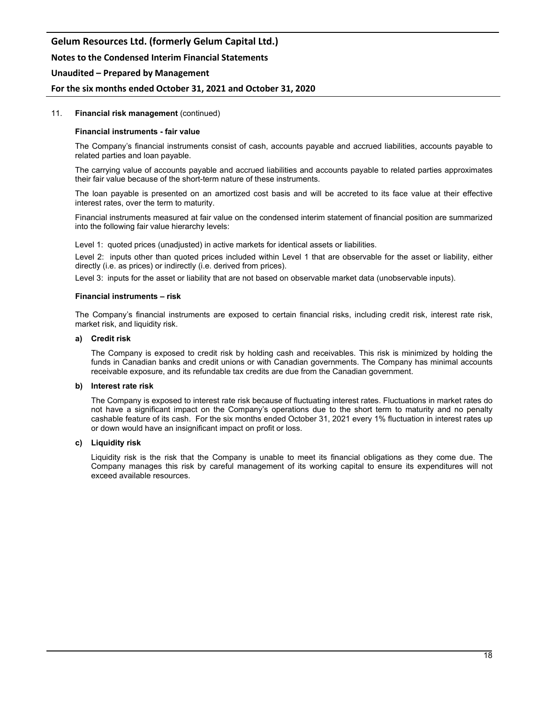## **Notes to the Condensed Interim Financial Statements**

### **Unaudited – Prepared by Management**

### **For the six months ended October 31, 2021 and October 31, 2020**

#### 11. **Financial risk management** (continued)

#### **Financial instruments - fair value**

The Company's financial instruments consist of cash, accounts payable and accrued liabilities, accounts payable to related parties and loan payable.

The carrying value of accounts payable and accrued liabilities and accounts payable to related parties approximates their fair value because of the short-term nature of these instruments.

The loan payable is presented on an amortized cost basis and will be accreted to its face value at their effective interest rates, over the term to maturity.

Financial instruments measured at fair value on the condensed interim statement of financial position are summarized into the following fair value hierarchy levels:

Level 1: quoted prices (unadjusted) in active markets for identical assets or liabilities.

Level 2: inputs other than quoted prices included within Level 1 that are observable for the asset or liability, either directly (i.e. as prices) or indirectly (i.e. derived from prices).

Level 3: inputs for the asset or liability that are not based on observable market data (unobservable inputs).

#### **Financial instruments – risk**

The Company's financial instruments are exposed to certain financial risks, including credit risk, interest rate risk, market risk, and liquidity risk.

#### **a) Credit risk**

The Company is exposed to credit risk by holding cash and receivables. This risk is minimized by holding the funds in Canadian banks and credit unions or with Canadian governments. The Company has minimal accounts receivable exposure, and its refundable tax credits are due from the Canadian government.

#### **b) Interest rate risk**

The Company is exposed to interest rate risk because of fluctuating interest rates. Fluctuations in market rates do not have a significant impact on the Company's operations due to the short term to maturity and no penalty cashable feature of its cash. For the six months ended October 31, 2021 every 1% fluctuation in interest rates up or down would have an insignificant impact on profit or loss.

#### **c) Liquidity risk**

Liquidity risk is the risk that the Company is unable to meet its financial obligations as they come due. The Company manages this risk by careful management of its working capital to ensure its expenditures will not exceed available resources.